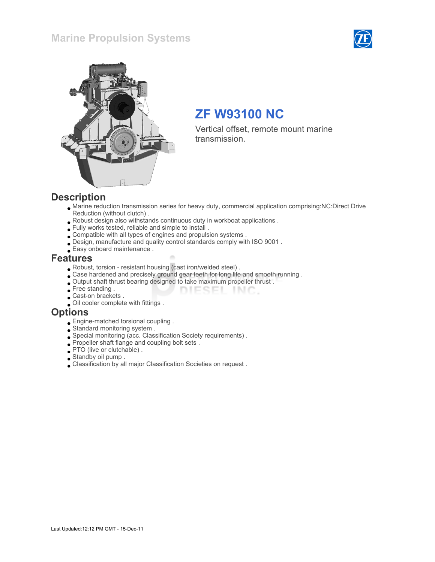## Marine Propulsion Systems





# ZF W93100 NC

Vertical offset, remote mount marine transmission.

#### **Description**

Marine reduction transmission series for heavy duty, commercial application comprising:NC:Direct Drive Reduction (without clutch) .

DIESEL INC.

- Robust design also withstands continuous duty in workboat applications .
- Fully works tested, reliable and simple to install .
- Compatible with all types of engines and propulsion systems .
- Design, manufacture and quality control standards comply with ISO 9001 .
- Easy onboard maintenance .

#### Features

- Robust, torsion resistant housing (cast iron/welded steel) .
- Case hardened and precisely ground gear teeth for long life and smooth running .
- Output shaft thrust bearing designed to take maximum propeller thrust .
- Free standing .
- **Cast-on brackets** .
- Oil cooler complete with fittings .

#### **Options**

- Engine-matched torsional coupling .
- Standard monitoring system .
- Special monitoring (acc. Classification Society requirements) .
- Propeller shaft flange and coupling bolt sets .
- PTO (live or clutchable) .
- Standby oil pump .
- Classification by all major Classification Societies on request .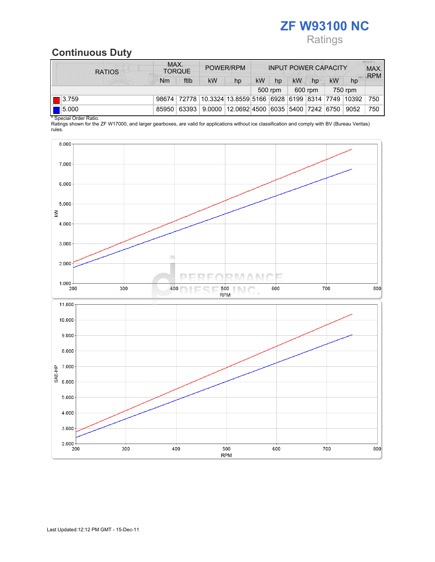# ZF W93100 NC **Ratings**

# Continuous Duty

| <b>RATIOS</b>        | MAX.<br><b>TORQUE</b> |         | POWER/RPM                                                          |         | <b>INPUT POWER CAPACITY</b> |         |           |    |           | <b>MILLX-T</b><br>MAX.<br><b>RPM</b> |     |
|----------------------|-----------------------|---------|--------------------------------------------------------------------|---------|-----------------------------|---------|-----------|----|-----------|--------------------------------------|-----|
|                      | Nm                    | ftlb    | <b>kW</b>                                                          | hp      | <b>kW</b>                   | hp      | <b>kW</b> | hp | <b>kW</b> | hp                                   |     |
|                      |                       | 500 rpm |                                                                    | 600 rpm |                             | 750 rpm |           |    |           |                                      |     |
| $\boxed{ }$ 3.759    |                       |         | 98674 72778 10.3324 13.8559 5166 6928 6199 8314 7749 10392         |         |                             |         |           |    |           |                                      | 750 |
| $\boxed{\Box}$ 5.000 | 85950                 |         | 63393   9.0000   12.0692   4500   6035   5400   7242   6750   9052 |         |                             |         |           |    |           |                                      | 750 |

\* Special Order Ratio.

Ratings shown for the ZF W17000, and larger gearboxes, are valid for applications without ice classification and comply with BV (Bureau Veritas) rules.

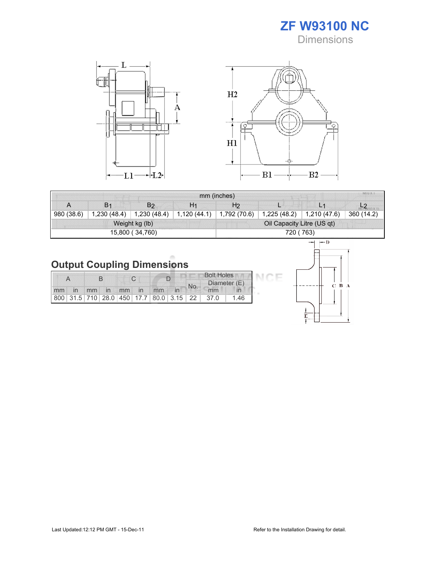ZF W93100 NC **Dimensions** 



| mm (inches) |                |                 |                |                |                            |                      |            |  |  |
|-------------|----------------|-----------------|----------------|----------------|----------------------------|----------------------|------------|--|--|
| A           | B <sub>1</sub> | B <sub>2</sub>  | H <sub>1</sub> | H <sub>2</sub> |                            |                      |            |  |  |
| 980 (38.6)  | 1,230(48.4)    | 1,230 (48.4)    | 1,120(44.1)    | 1,792 (70.6)   | 1,225(48.2)                | $\vert$ 1,210 (47.6) | 360 (14.2) |  |  |
|             |                | Weight kg (lb)  |                |                | Oil Capacity Litre (US qt) |                      |            |  |  |
|             |                | 15,800 (34,760) |                | 720 ( 763)     |                            |                      |            |  |  |

# **Output Coupling Dimensions**

|    |  |    |            |    |              |    | <b>Bolt Holes</b>                                       |     |              |     |
|----|--|----|------------|----|--------------|----|---------------------------------------------------------|-----|--------------|-----|
|    |  |    |            |    |              |    |                                                         | No. | Diameter (E) |     |
| mm |  | mm | $\n  un\n$ | mm | $\mathsf{I}$ | mm |                                                         |     | mm           |     |
|    |  |    |            |    |              |    | 800   31.5   710   28.0   450   17.7   80.0   3.15   22 |     | 37.0         | -46 |

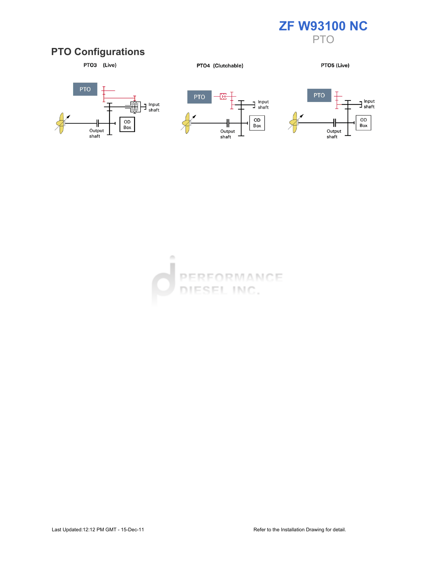

### PTO Configurations



PTO4 (Clutchable)

PTO5 (Live)